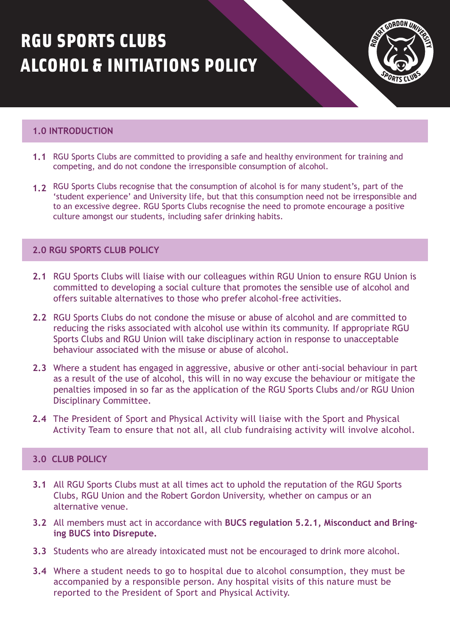# RGU SPORTS CLUBS ALCOHOL & INITIATIONS POLICY



# **1.0 INTRODUCTION**

- **1.1** RGU Sports Clubs are committed to providing a safe and healthy environment for training and competing, and do not condone the irresponsible consumption of alcohol.
- 1.2 RGU Sports Clubs recognise that the consumption of alcohol is for many student's, part of the 'student experience' and University life, but that this consumption need not be irresponsible and to an excessive degree. RGU Sports Clubs recognise the need to promote encourage a positive culture amongst our students, including safer drinking habits.

# **2.0 RGU SPORTS CLUB POLICY**

- **2.1** RGU Sports Clubs will liaise with our colleagues within RGU Union to ensure RGU Union is committed to developing a social culture that promotes the sensible use of alcohol and offers suitable alternatives to those who prefer alcohol-free activities.
- **2.2** RGU Sports Clubs do not condone the misuse or abuse of alcohol and are committed to reducing the risks associated with alcohol use within its community. If appropriate RGU Sports Clubs and RGU Union will take disciplinary action in response to unacceptable behaviour associated with the misuse or abuse of alcohol.
- **2.3** Where a student has engaged in aggressive, abusive or other anti-social behaviour in part as a result of the use of alcohol, this will in no way excuse the behaviour or mitigate the penalties imposed in so far as the application of the RGU Sports Clubs and/or RGU Union Disciplinary Committee.
- **2.4** The President of Sport and Physical Activity will liaise with the Sport and Physical Activity Team to ensure that not all, all club fundraising activity will involve alcohol.

# **3.0 CLUB POLICY**

- **3.1** All RGU Sports Clubs must at all times act to uphold the reputation of the RGU Sports Clubs, RGU Union and the Robert Gordon University, whether on campus or an alternative venue.
- All members must act in accordance with **[BUCS regulation 5.2.1, Misconduct and Bring-](https://www.bucs.org.uk/rules-and-regulations/general-regulations/reg-5-misconduct-and-bringing-bucs-into-disrepute.html)3.2 ing BUCS into Disrepute.**
- **3.3** Students who are already intoxicated must not be encouraged to drink more alcohol.
- Where a student needs to go to hospital due to alcohol consumption, they must be **3.4**  accompanied by a responsible person. Any hospital visits of this nature must be reported to the President of Sport and Physical Activity.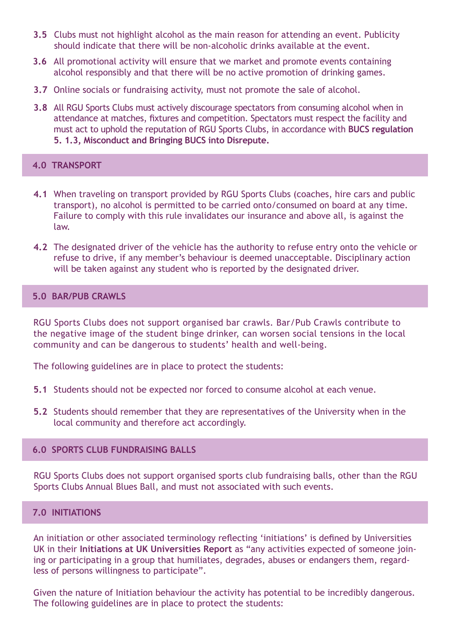- Clubs must not highlight alcohol as the main reason for attending an event. Publicity **3.5** should indicate that there will be non-alcoholic drinks available at the event.
- **3.6** All promotional activity will ensure that we market and promote events containing alcohol responsibly and that there will be no active promotion of drinking games.
- **3.7** Online socials or fundraising activity, must not promote the sale of alcohol.
- **3.8** All RGU Sports Clubs must actively discourage spectators from consuming alcohol when in attendance at matches, fixtures and competition. Spectators must respect the facility and [must act to uphold the reputation of RGU Sports Clubs, in accordance with](https://www.bucs.org.uk/rules-and-regulations/general-regulations/reg-5-misconduct-and-bringing-bucs-into-disrepute.html) **BUCS regulation 5. 1.3, Misconduct and Bringing BUCS into Disrepute.**

## **4.0 TRANSPORT**

- When traveling on transport provided by RGU Sports Clubs (coaches, hire cars and public **4.1**  transport), no alcohol is permitted to be carried onto/consumed on board at any time. Failure to comply with this rule invalidates our insurance and above all, is against the law.
- The designated driver of the vehicle has the authority to refuse entry onto the vehicle or **4.2**  refuse to drive, if any member's behaviour is deemed unacceptable. Disciplinary action will be taken against any student who is reported by the designated driver.

## **5.0 BAR/PUB CRAWLS**

RGU Sports Clubs does not support organised bar crawls. Bar/Pub Crawls contribute to the negative image of the student binge drinker, can worsen social tensions in the local community and can be dangerous to students' health and well-being.

The following guidelines are in place to protect the students:

- **5.1** Students should not be expected nor forced to consume alcohol at each venue.
- Students should remember that they are representatives of the University when in the **5.2**  local community and therefore act accordingly.

#### **6.0 SPORTS CLUB FUNDRAISING BALLS**

RGU Sports Clubs does not support organised sports club fundraising balls, other than the RGU Sports Clubs Annual Blues Ball, and must not associated with such events.

# **7.0 INITIATIONS**

An initiation or other associated terminology reflecting 'initiations' is defined by Universities UK in their **[Initiations at UK Universities Report](https://www.universitiesuk.ac.uk/sites/default/files/field/downloads/2021-07/initiations-in-uk-universities.pdf)** as "any activities expected of someone joining or participating in a group that humiliates, degrades, abuses or endangers them, regardless of persons willingness to participate".

Given the nature of Initiation behaviour the activity has potential to be incredibly dangerous. The following guidelines are in place to protect the students: